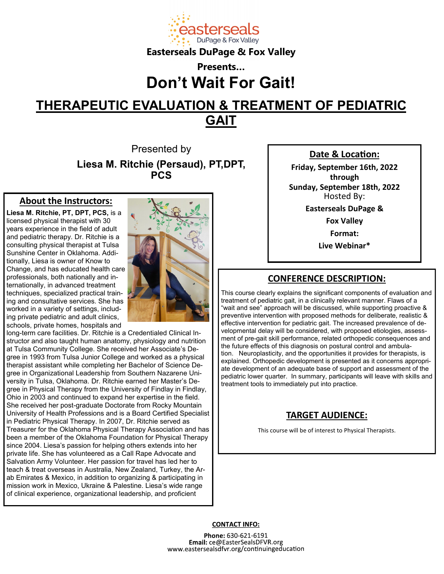

## **Easterseals DuPage & Fox Valley**

# **Presents… Don't Wait For Gait!**

# **THERAPEUTIC EVALUATION & TREATMENT OF PEDIATRIC GAIT**

Presented by **Liesa M. Ritchie (Persaud), PT,DPT, PCS**

#### **About the Instructors:**

**Liesa M. Ritchie, PT, DPT, PCS,** is a licensed physical therapist with 30 years experience in the field of adult and pediatric therapy. Dr. Ritchie is a consulting physical therapist at Tulsa Sunshine Center in Oklahoma. Additionally, Liesa is owner of Know to Change, and has educated health care professionals, both nationally and internationally, in advanced treatment techniques, specialized practical training and consultative services. She has worked in a variety of settings, including private pediatric and adult clinics, schools, private homes, hospitals and



long-term care facilities. Dr. Ritchie is a Credentialed Clinical Instructor and also taught human anatomy, physiology and nutrition at Tulsa Community College. She received her Associate's Degree in 1993 from Tulsa Junior College and worked as a physical therapist assistant while completing her Bachelor of Science Degree in Organizational Leadership from Southern Nazarene University in Tulsa, Oklahoma. Dr. Ritchie earned her Master's Degree in Physical Therapy from the University of Findlay in Findlay, Ohio in 2003 and continued to expand her expertise in the field. She received her post-graduate Doctorate from Rocky Mountain University of Health Professions and is a Board Certified Specialist in Pediatric Physical Therapy. In 2007, Dr. Ritchie served as Treasurer for the Oklahoma Physical Therapy Association and has been a member of the Oklahoma Foundation for Physical Therapy since 2004. Liesa's passion for helping others extends into her private life. She has volunteered as a Call Rape Advocate and Salvation Army Volunteer. Her passion for travel has led her to teach & treat overseas in Australia, New Zealand, Turkey, the Arab Emirates & Mexico, in addition to organizing & participating in mission work in Mexico, Ukraine & Palestine. Liesa's wide range of clinical experience, organizational leadership, and proficient

#### **Date & Location:**

**Friday, September 16th, 2022 through Sunday, September 18th, 2022** Hosted By:

**Easterseals DuPage &** 

**Fox Valley**

**Format:**

**Live Webinar\***

#### **CONFERENCE DESCRIPTION:**

This course clearly explains the significant components of evaluation and treatment of pediatric gait, in a clinically relevant manner. Flaws of a "wait and see" approach will be discussed, while supporting proactive & preventive intervention with proposed methods for deliberate, realistic & effective intervention for pediatric gait. The increased prevalence of developmental delay will be considered, with proposed etiologies, assessment of pre-gait skill performance, related orthopedic consequences and the future effects of this diagnosis on postural control and ambulation. Neuroplasticity, and the opportunities it provides for therapists, is explained. Orthopedic development is presented as it concerns appropriate development of an adequate base of support and assessment of the pediatric lower quarter. In summary, participants will leave with skills and treatment tools to immediately put into practice.

### **TARGET AUDIENCE:**

This course will be of interest to Physical Therapists.

**CONTACT INFO:**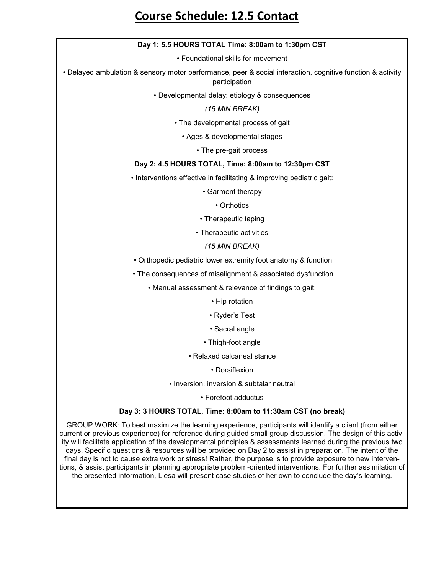## **Course Schedule: 12.5 Contact**

#### **Day 1: 5.5 HOURS TOTAL Time: 8:00am to 1:30pm CST**

• Foundational skills for movement

• Delayed ambulation & sensory motor performance, peer & social interaction, cognitive function & activity participation

• Developmental delay: etiology & consequences

*(15 MIN BREAK)* 

• The developmental process of gait

• Ages & developmental stages

• The pre-gait process

#### **Day 2: 4.5 HOURS TOTAL, Time: 8:00am to 12:30pm CST**

• Interventions effective in facilitating & improving pediatric gait:

• Garment therapy

• Orthotics

- Therapeutic taping
- Therapeutic activities

*(15 MIN BREAK)*

• Orthopedic pediatric lower extremity foot anatomy & function

• The consequences of misalignment & associated dysfunction

• Manual assessment & relevance of findings to gait:

• Hip rotation

- Ryder's Test
- Sacral angle
- Thigh-foot angle
- Relaxed calcaneal stance

• Dorsiflexion

• Inversion, inversion & subtalar neutral

• Forefoot adductus

#### **Day 3: 3 HOURS TOTAL, Time: 8:00am to 11:30am CST (no break)**

GROUP WORK: To best maximize the learning experience, participants will identify a client (from either current or previous experience) for reference during guided small group discussion. The design of this activity will facilitate application of the developmental principles & assessments learned during the previous two days. Specific questions & resources will be provided on Day 2 to assist in preparation. The intent of the final day is not to cause extra work or stress! Rather, the purpose is to provide exposure to new interventions, & assist participants in planning appropriate problem-oriented interventions. For further assimilation of the presented information, Liesa will present case studies of her own to conclude the day's learning.